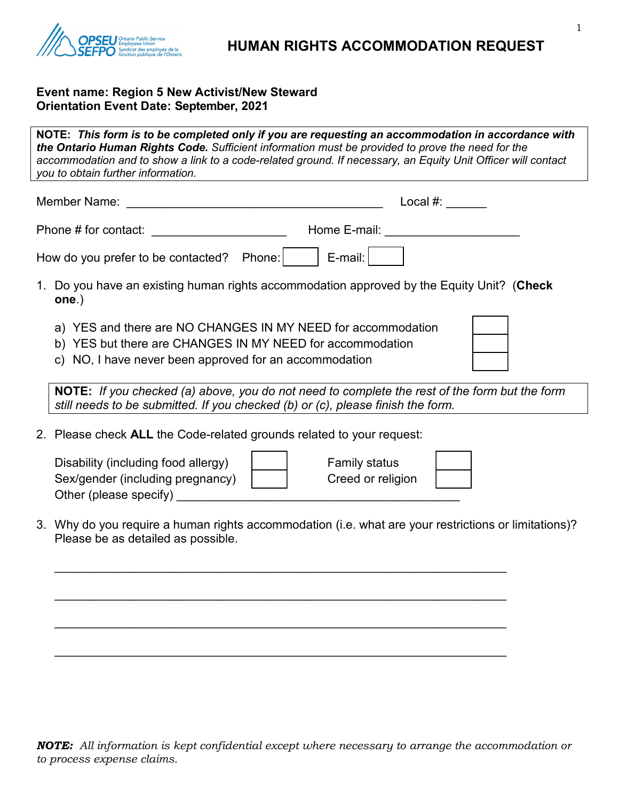

## **Event name: Region 5 New Activist/New Steward Orientation Event Date: September, 2021**

Other (please specify) \_\_\_\_\_\_\_\_\_\_\_\_\_\_\_\_\_\_\_\_\_\_\_\_\_\_\_\_\_\_\_\_\_\_\_\_\_\_\_\_\_\_

**NOTE:** *This form is to be completed only if you are requesting an accommodation in accordance with the Ontario Human Rights Code. Sufficient information must be provided to prove the need for the accommodation and to show a link to a code-related ground. If necessary, an Equity Unit Officer will contact you to obtain further information.* Member Name: \_\_\_\_\_\_\_\_\_\_\_\_\_\_\_\_\_\_\_\_\_\_\_\_\_\_\_\_\_\_\_\_\_\_\_\_\_\_ Local #: \_\_\_\_\_\_ Phone # for contact: <br>
Home E-mail:  $\blacksquare$ How do you prefer to be contacted? Phone:  $\vert$   $\vert$  E-mail:  $\vert$ 1. Do you have an existing human rights accommodation approved by the Equity Unit? (**Check one**.) a) YES and there are NO CHANGES IN MY NEED for accommodation b) YES but there are CHANGES IN MY NEED for accommodation c) NO, I have never been approved for an accommodation **NOTE:** *If you checked (a) above, you do not need to complete the rest of the form but the form still needs to be submitted. If you checked (b) or (c), please finish the form.* 2. Please check **ALL** the Code-related grounds related to your request: Disability (including food allergy) Losson Family status Sex/gender (including pregnancy)  $\vert$  | Creed or religion

3. Why do you require a human rights accommodation (i.e. what are your restrictions or limitations)? Please be as detailed as possible.

\_\_\_\_\_\_\_\_\_\_\_\_\_\_\_\_\_\_\_\_\_\_\_\_\_\_\_\_\_\_\_\_\_\_\_\_\_\_\_\_\_\_\_\_\_\_\_\_\_\_\_\_\_\_\_\_\_\_\_\_\_\_\_\_\_\_\_

\_\_\_\_\_\_\_\_\_\_\_\_\_\_\_\_\_\_\_\_\_\_\_\_\_\_\_\_\_\_\_\_\_\_\_\_\_\_\_\_\_\_\_\_\_\_\_\_\_\_\_\_\_\_\_\_\_\_\_\_\_\_\_\_\_\_\_

\_\_\_\_\_\_\_\_\_\_\_\_\_\_\_\_\_\_\_\_\_\_\_\_\_\_\_\_\_\_\_\_\_\_\_\_\_\_\_\_\_\_\_\_\_\_\_\_\_\_\_\_\_\_\_\_\_\_\_\_\_\_\_\_\_\_\_

\_\_\_\_\_\_\_\_\_\_\_\_\_\_\_\_\_\_\_\_\_\_\_\_\_\_\_\_\_\_\_\_\_\_\_\_\_\_\_\_\_\_\_\_\_\_\_\_\_\_\_\_\_\_\_\_\_\_\_\_\_\_\_\_\_\_\_

*NOTE: All information is kept confidential except where necessary to arrange the accommodation or to process expense claims.*